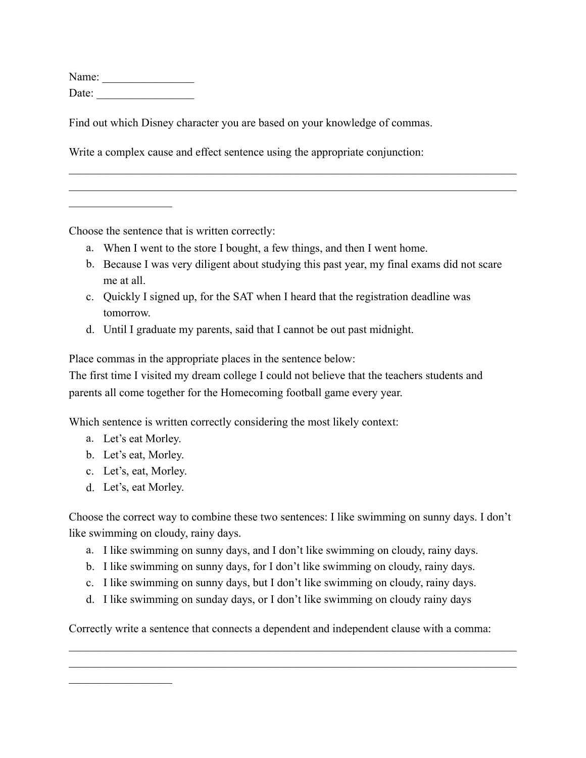Name: \_\_\_\_\_\_\_\_\_\_\_\_\_\_\_\_ Date: \_\_\_\_\_\_\_\_\_\_\_\_\_\_\_\_\_

 $\mathcal{L}_\text{max}$ 

Find out which Disney character you are based on your knowledge of commas.

Write a complex cause and effect sentence using the appropriate conjunction:

Choose the sentence that is written correctly:

- a. When I went to the store I bought, a few things, and then I went home.
- b. Because I was very diligent about studying this past year, my final exams did not scare me at all.

 $\mathcal{L}_\mathcal{L} = \{ \mathcal{L}_\mathcal{L} = \{ \mathcal{L}_\mathcal{L} = \{ \mathcal{L}_\mathcal{L} = \{ \mathcal{L}_\mathcal{L} = \{ \mathcal{L}_\mathcal{L} = \{ \mathcal{L}_\mathcal{L} = \{ \mathcal{L}_\mathcal{L} = \{ \mathcal{L}_\mathcal{L} = \{ \mathcal{L}_\mathcal{L} = \{ \mathcal{L}_\mathcal{L} = \{ \mathcal{L}_\mathcal{L} = \{ \mathcal{L}_\mathcal{L} = \{ \mathcal{L}_\mathcal{L} = \{ \mathcal{L}_\mathcal{$  $\mathcal{L}_\mathcal{L} = \{ \mathcal{L}_\mathcal{L} = \{ \mathcal{L}_\mathcal{L} = \{ \mathcal{L}_\mathcal{L} = \{ \mathcal{L}_\mathcal{L} = \{ \mathcal{L}_\mathcal{L} = \{ \mathcal{L}_\mathcal{L} = \{ \mathcal{L}_\mathcal{L} = \{ \mathcal{L}_\mathcal{L} = \{ \mathcal{L}_\mathcal{L} = \{ \mathcal{L}_\mathcal{L} = \{ \mathcal{L}_\mathcal{L} = \{ \mathcal{L}_\mathcal{L} = \{ \mathcal{L}_\mathcal{L} = \{ \mathcal{L}_\mathcal{$ 

- c. Quickly I signed up, for the SAT when I heard that the registration deadline was tomorrow.
- d. Until I graduate my parents, said that I cannot be out past midnight.

Place commas in the appropriate places in the sentence below:

The first time I visited my dream college I could not believe that the teachers students and parents all come together for the Homecoming football game every year.

Which sentence is written correctly considering the most likely context:

- a. Let's eat Morley.
- b. Let's eat, Morley.
- c. Let's, eat, Morley.
- d. Let's, eat Morley.

 $\mathcal{L}_\text{max}$ 

Choose the correct way to combine these two sentences: I like swimming on sunny days. I don't like swimming on cloudy, rainy days.

- a. I like swimming on sunny days, and I don't like swimming on cloudy, rainy days.
- b. I like swimming on sunny days, for I don't like swimming on cloudy, rainy days.
- c. I like swimming on sunny days, but I don't like swimming on cloudy, rainy days.
- d. I like swimming on sunday days, or I don't like swimming on cloudy rainy days

Correctly write a sentence that connects a dependent and independent clause with a comma:

 $\mathcal{L}_\mathcal{L} = \{ \mathcal{L}_\mathcal{L} = \{ \mathcal{L}_\mathcal{L} = \{ \mathcal{L}_\mathcal{L} = \{ \mathcal{L}_\mathcal{L} = \{ \mathcal{L}_\mathcal{L} = \{ \mathcal{L}_\mathcal{L} = \{ \mathcal{L}_\mathcal{L} = \{ \mathcal{L}_\mathcal{L} = \{ \mathcal{L}_\mathcal{L} = \{ \mathcal{L}_\mathcal{L} = \{ \mathcal{L}_\mathcal{L} = \{ \mathcal{L}_\mathcal{L} = \{ \mathcal{L}_\mathcal{L} = \{ \mathcal{L}_\mathcal{$  $\mathcal{L}_\mathcal{L} = \{ \mathcal{L}_\mathcal{L} = \{ \mathcal{L}_\mathcal{L} = \{ \mathcal{L}_\mathcal{L} = \{ \mathcal{L}_\mathcal{L} = \{ \mathcal{L}_\mathcal{L} = \{ \mathcal{L}_\mathcal{L} = \{ \mathcal{L}_\mathcal{L} = \{ \mathcal{L}_\mathcal{L} = \{ \mathcal{L}_\mathcal{L} = \{ \mathcal{L}_\mathcal{L} = \{ \mathcal{L}_\mathcal{L} = \{ \mathcal{L}_\mathcal{L} = \{ \mathcal{L}_\mathcal{L} = \{ \mathcal{L}_\mathcal{$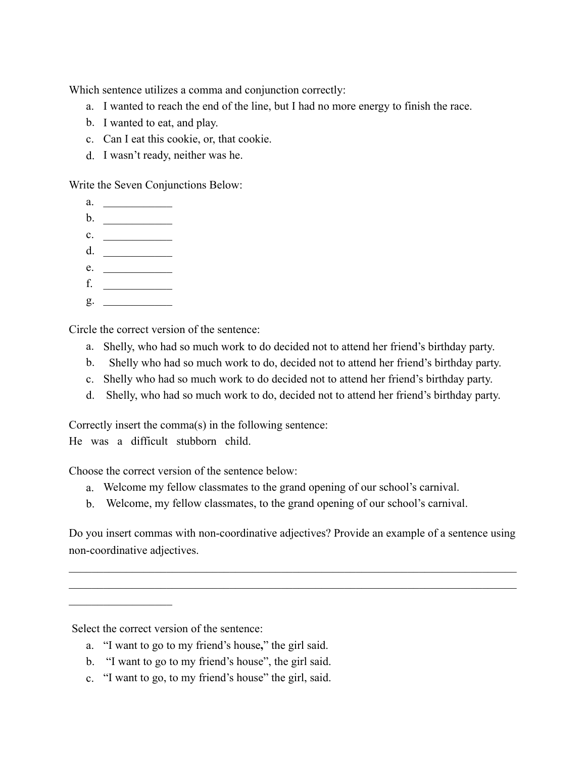Which sentence utilizes a comma and conjunction correctly:

- a. I wanted to reach the end of the line, but I had no more energy to finish the race.
- b. I wanted to eat, and play.
- c. Can I eat this cookie, or, that cookie.
- d. I wasn't ready, neither was he.

Write the Seven Conjunctions Below:

- a. \_\_\_\_\_\_\_\_\_\_\_\_
- b. \_\_\_\_\_\_\_\_\_\_\_\_
- $c.$
- d.  $\qquad \qquad$
- e. \_\_\_\_\_\_\_\_\_\_\_\_
- f. \_\_\_\_\_\_\_\_\_\_\_\_
- $g.$

Circle the correct version of the sentence:

- a. Shelly, who had so much work to do decided not to attend her friend's birthday party.
- b. Shelly who had so much work to do, decided not to attend her friend's birthday party.
- c. Shelly who had so much work to do decided not to attend her friend's birthday party.
- d. Shelly, who had so much work to do, decided not to attend her friend's birthday party.

Correctly insert the comma(s) in the following sentence:

He was a difficult stubborn child.

Choose the correct version of the sentence below:

- a. Welcome my fellow classmates to the grand opening of our school's carnival.
- b. Welcome, my fellow classmates, to the grand opening of our school's carnival.

Do you insert commas with non-coordinative adjectives? Provide an example of a sentence using non-coordinative adjectives.

 $\mathcal{L}_\mathcal{L} = \{ \mathcal{L}_\mathcal{L} = \{ \mathcal{L}_\mathcal{L} = \{ \mathcal{L}_\mathcal{L} = \{ \mathcal{L}_\mathcal{L} = \{ \mathcal{L}_\mathcal{L} = \{ \mathcal{L}_\mathcal{L} = \{ \mathcal{L}_\mathcal{L} = \{ \mathcal{L}_\mathcal{L} = \{ \mathcal{L}_\mathcal{L} = \{ \mathcal{L}_\mathcal{L} = \{ \mathcal{L}_\mathcal{L} = \{ \mathcal{L}_\mathcal{L} = \{ \mathcal{L}_\mathcal{L} = \{ \mathcal{L}_\mathcal{$  $\mathcal{L}_\mathcal{L} = \{ \mathcal{L}_\mathcal{L} = \{ \mathcal{L}_\mathcal{L} = \{ \mathcal{L}_\mathcal{L} = \{ \mathcal{L}_\mathcal{L} = \{ \mathcal{L}_\mathcal{L} = \{ \mathcal{L}_\mathcal{L} = \{ \mathcal{L}_\mathcal{L} = \{ \mathcal{L}_\mathcal{L} = \{ \mathcal{L}_\mathcal{L} = \{ \mathcal{L}_\mathcal{L} = \{ \mathcal{L}_\mathcal{L} = \{ \mathcal{L}_\mathcal{L} = \{ \mathcal{L}_\mathcal{L} = \{ \mathcal{L}_\mathcal{$ 

Select the correct version of the sentence:

 $\mathcal{L}_\text{max}$  , where  $\mathcal{L}_\text{max}$ 

- a. "I want to go to my friend's house**,**" the girl said.
- b. "I want to go to my friend's house", the girl said.
- c. "I want to go, to my friend's house" the girl, said.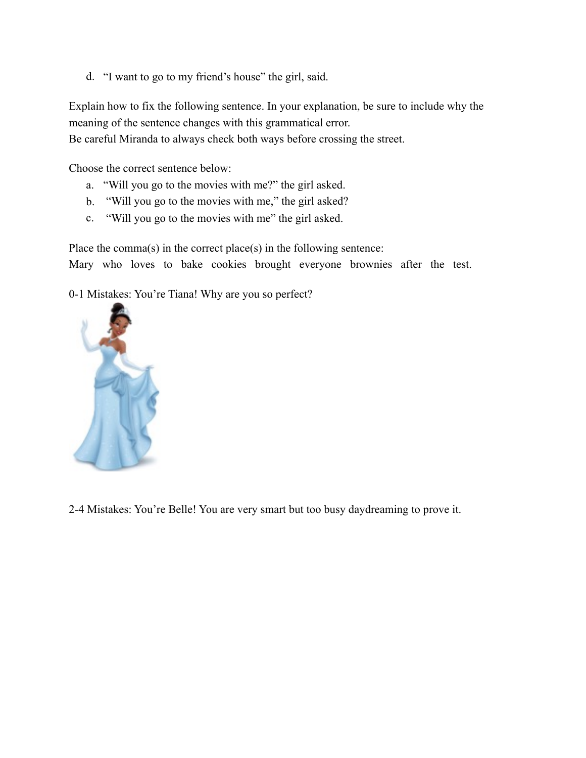d. "I want to go to my friend's house" the girl, said.

Explain how to fix the following sentence. In your explanation, be sure to include why the meaning of the sentence changes with this grammatical error.

Be careful Miranda to always check both ways before crossing the street.

Choose the correct sentence below:

- a. "Will you go to the movies with me?" the girl asked.
- b. "Will you go to the movies with me," the girl asked?
- c. "Will you go to the movies with me" the girl asked.

Place the comma(s) in the correct place(s) in the following sentence: Mary who loves to bake cookies brought everyone brownies after the test.

0-1 Mistakes: You're Tiana! Why are you so perfect?



2-4 Mistakes: You're Belle! You are very smart but too busy daydreaming to prove it.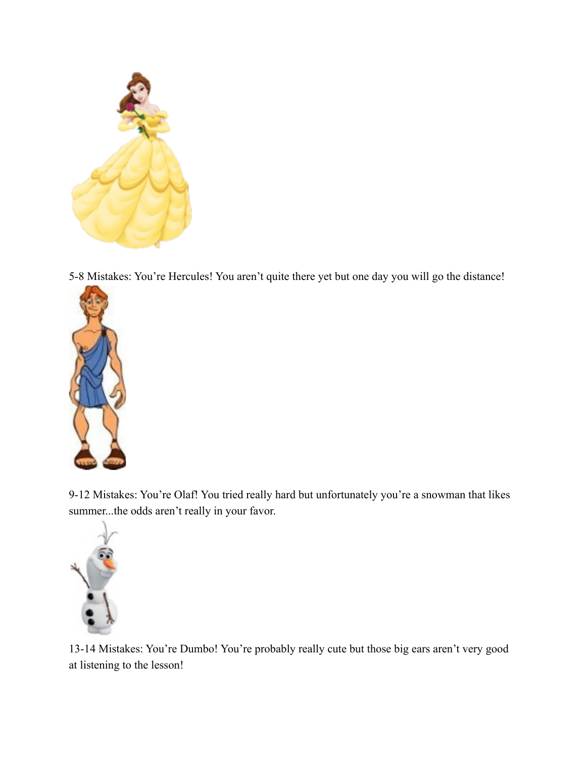

5-8 Mistakes: You're Hercules! You aren't quite there yet but one day you will go the distance!



9-12 Mistakes: You're Olaf! You tried really hard but unfortunately you're a snowman that likes summer...the odds aren't really in your favor.



13-14 Mistakes: You're Dumbo! You're probably really cute but those big ears aren't very good at listening to the lesson!